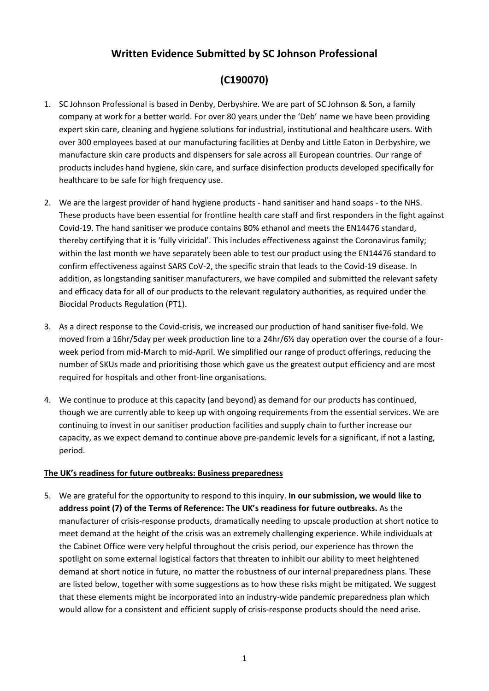## **Written Evidence Submitted by SC Johnson Professional**

# **(C190070)**

- 1. SC Johnson Professional is based in Denby, Derbyshire. We are part of SC Johnson & Son, a family company at work for a better world. For over 80 years under the 'Deb' name we have been providing expert skin care, cleaning and hygiene solutions for industrial, institutional and healthcare users. With over 300 employees based at our manufacturing facilities at Denby and Little Eaton in Derbyshire, we manufacture skin care products and dispensers for sale across all European countries. Our range of products includes hand hygiene, skin care, and surface disinfection products developed specifically for healthcare to be safe for high frequency use.
- 2. We are the largest provider of hand hygiene products hand sanitiser and hand soaps to the NHS. These products have been essential for frontline health care staff and first responders in the fight against Covid-19. The hand sanitiser we produce contains 80% ethanol and meets the EN14476 standard, thereby certifying that it is 'fully viricidal'. This includes effectiveness against the Coronavirus family; within the last month we have separately been able to test our product using the EN14476 standard to confirm effectiveness against SARS CoV-2, the specific strain that leads to the Covid-19 disease. In addition, as longstanding sanitiser manufacturers, we have compiled and submitted the relevant safety and efficacy data for all of our products to the relevant regulatory authorities, as required under the Biocidal Products Regulation (PT1).
- 3. As a direct response to the Covid-crisis, we increased our production of hand sanitiser five-fold. We moved from a 16hr/5day per week production line to a 24hr/6½ day operation over the course of a fourweek period from mid-March to mid-April. We simplified our range of product offerings, reducing the number of SKUs made and prioritising those which gave us the greatest output efficiency and are most required for hospitals and other front-line organisations.
- 4. We continue to produce at this capacity (and beyond) as demand for our products has continued, though we are currently able to keep up with ongoing requirements from the essential services. We are continuing to invest in our sanitiser production facilities and supply chain to further increase our capacity, as we expect demand to continue above pre-pandemic levels for a significant, if not a lasting, period.

#### **The UK's readiness for future outbreaks: Business preparedness**

5. We are grateful for the opportunity to respond to this inquiry. **In our submission, we would like to address point (7) of the Terms of Reference: The UK's readiness for future outbreaks.** As the manufacturer of crisis-response products, dramatically needing to upscale production at short notice to meet demand at the height of the crisis was an extremely challenging experience. While individuals at the Cabinet Office were very helpful throughout the crisis period, our experience has thrown the spotlight on some external logistical factors that threaten to inhibit our ability to meet heightened demand at short notice in future, no matter the robustness of our internal preparedness plans. These are listed below, together with some suggestions as to how these risks might be mitigated. We suggest that these elements might be incorporated into an industry-wide pandemic preparedness plan which would allow for a consistent and efficient supply of crisis-response products should the need arise.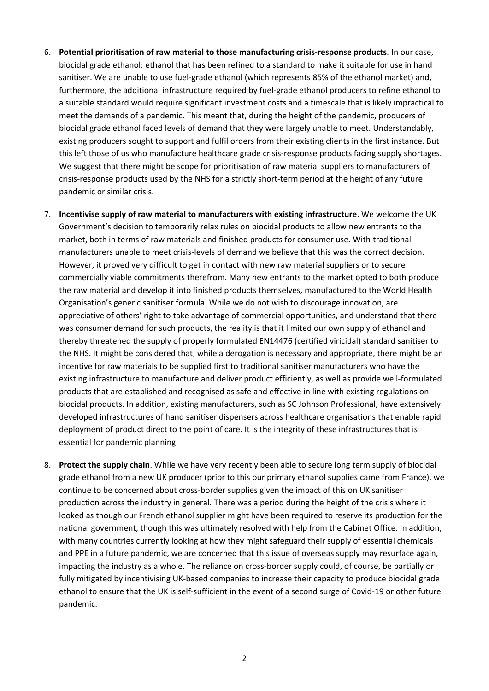- 6. **Potential prioritisation of raw material to those manufacturing crisis-response products**. In our case, biocidal grade ethanol: ethanol that has been refined to a standard to make it suitable for use in hand sanitiser. We are unable to use fuel-grade ethanol (which represents 85% of the ethanol market) and, furthermore, the additional infrastructure required by fuel-grade ethanol producers to refine ethanol to a suitable standard would require significant investment costs and a timescale that is likely impractical to meet the demands of a pandemic. This meant that, during the height of the pandemic, producers of biocidal grade ethanol faced levels of demand that they were largely unable to meet. Understandably, existing producers sought to support and fulfil orders from their existing clients in the first instance. But this left those of us who manufacture healthcare grade crisis-response products facing supply shortages. We suggest that there might be scope for prioritisation of raw material suppliers to manufacturers of crisis-response products used by the NHS for a strictly short-term period at the height of any future pandemic or similar crisis.
- 7. **Incentivise supply of raw material to manufacturers with existing infrastructure**. We welcome the UK Government's decision to temporarily relax rules on biocidal products to allow new entrants to the market, both in terms of raw materials and finished products for consumer use. With traditional manufacturers unable to meet crisis-levels of demand we believe that this was the correct decision. However, it proved very difficult to get in contact with new raw material suppliers or to secure commercially viable commitments therefrom. Many new entrants to the market opted to both produce the raw material and develop it into finished products themselves, manufactured to the World Health Organisation's generic sanitiser formula. While we do not wish to discourage innovation, are appreciative of others' right to take advantage of commercial opportunities, and understand that there was consumer demand for such products, the reality is that it limited our own supply of ethanol and thereby threatened the supply of properly formulated EN14476 (certified viricidal) standard sanitiser to the NHS. It might be considered that, while a derogation is necessary and appropriate, there might be an incentive for raw materials to be supplied first to traditional sanitiser manufacturers who have the existing infrastructure to manufacture and deliver product efficiently, as well as provide well-formulated products that are established and recognised as safe and effective in line with existing regulations on biocidal products. In addition, existing manufacturers, such as SC Johnson Professional, have extensively developed infrastructures of hand sanitiser dispensers across healthcare organisations that enable rapid deployment of product direct to the point of care. It is the integrity of these infrastructures that is essential for pandemic planning.
- 8. **Protect the supply chain**. While we have very recently been able to secure long term supply of biocidal grade ethanol from a new UK producer (prior to this our primary ethanol supplies came from France), we continue to be concerned about cross-border supplies given the impact of this on UK sanitiser production across the industry in general. There was a period during the height of the crisis where it looked as though our French ethanol supplier might have been required to reserve its production for the national government, though this was ultimately resolved with help from the Cabinet Office. In addition, with many countries currently looking at how they might safeguard their supply of essential chemicals and PPE in a future pandemic, we are concerned that this issue of overseas supply may resurface again, impacting the industry as a whole. The reliance on cross-border supply could, of course, be partially or fully mitigated by incentivising UK-based companies to increase their capacity to produce biocidal grade ethanol to ensure that the UK is self-sufficient in the event of a second surge of Covid-19 or other future pandemic.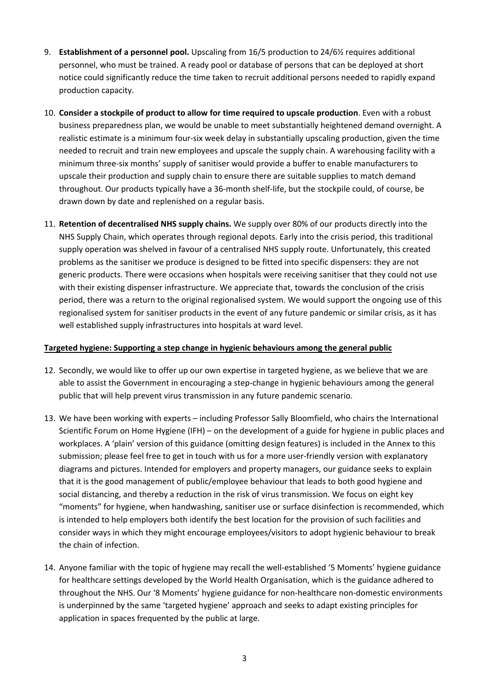- 9. **Establishment of a personnel pool.** Upscaling from 16/5 production to 24/6½ requires additional personnel, who must be trained. A ready pool or database of persons that can be deployed at short notice could significantly reduce the time taken to recruit additional persons needed to rapidly expand production capacity.
- 10. **Consider a stockpile of product to allow for time required to upscale production**. Even with a robust business preparedness plan, we would be unable to meet substantially heightened demand overnight. A realistic estimate is a minimum four-six week delay in substantially upscaling production, given the time needed to recruit and train new employees and upscale the supply chain. A warehousing facility with a minimum three-six months' supply of sanitiser would provide a buffer to enable manufacturers to upscale their production and supply chain to ensure there are suitable supplies to match demand throughout. Our products typically have a 36-month shelf-life, but the stockpile could, of course, be drawn down by date and replenished on a regular basis.
- 11. **Retention of decentralised NHS supply chains.** We supply over 80% of our products directly into the NHS Supply Chain, which operates through regional depots. Early into the crisis period, this traditional supply operation was shelved in favour of a centralised NHS supply route. Unfortunately, this created problems as the sanitiser we produce is designed to be fitted into specific dispensers: they are not generic products. There were occasions when hospitals were receiving sanitiser that they could not use with their existing dispenser infrastructure. We appreciate that, towards the conclusion of the crisis period, there was a return to the original regionalised system. We would support the ongoing use of this regionalised system for sanitiser products in the event of any future pandemic or similar crisis, as it has well established supply infrastructures into hospitals at ward level.

#### **Targeted hygiene: Supporting a step change in hygienic behaviours among the general public**

- 12. Secondly, we would like to offer up our own expertise in targeted hygiene, as we believe that we are able to assist the Government in encouraging a step-change in hygienic behaviours among the general public that will help prevent virus transmission in any future pandemic scenario.
- 13. We have been working with experts including Professor Sally Bloomfield, who chairs the International Scientific Forum on Home Hygiene (IFH) – on the development of a guide for hygiene in public places and workplaces. A 'plain' version of this guidance (omitting design features) is included in the Annex to this submission; please feel free to get in touch with us for a more user-friendly version with explanatory diagrams and pictures. Intended for employers and property managers, our guidance seeks to explain that it is the good management of public/employee behaviour that leads to both good hygiene and social distancing, and thereby a reduction in the risk of virus transmission. We focus on eight key "moments" for hygiene, when handwashing, sanitiser use or surface disinfection is recommended, which is intended to help employers both identify the best location for the provision of such facilities and consider ways in which they might encourage employees/visitors to adopt hygienic behaviour to break the chain of infection.
- 14. Anyone familiar with the topic of hygiene may recall the well-established '5 Moments' hygiene guidance for healthcare settings developed by the World Health Organisation, which is the guidance adhered to throughout the NHS. Our '8 Moments' hygiene guidance for non-healthcare non-domestic environments is underpinned by the same 'targeted hygiene' approach and seeks to adapt existing principles for application in spaces frequented by the public at large.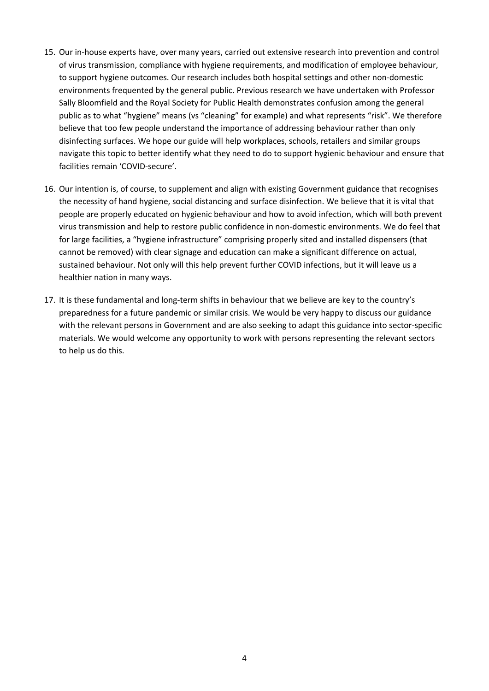- 15. Our in-house experts have, over many years, carried out extensive research into prevention and control of virus transmission, compliance with hygiene requirements, and modification of employee behaviour, to support hygiene outcomes. Our research includes both hospital settings and other non-domestic environments frequented by the general public. Previous research we have undertaken with Professor Sally Bloomfield and the Royal Society for Public Health demonstrates confusion among the general public as to what "hygiene" means (vs "cleaning" for example) and what represents "risk". We therefore believe that too few people understand the importance of addressing behaviour rather than only disinfecting surfaces. We hope our guide will help workplaces, schools, retailers and similar groups navigate this topic to better identify what they need to do to support hygienic behaviour and ensure that facilities remain 'COVID-secure'.
- 16. Our intention is, of course, to supplement and align with existing Government guidance that recognises the necessity of hand hygiene, social distancing and surface disinfection. We believe that it is vital that people are properly educated on hygienic behaviour and how to avoid infection, which will both prevent virus transmission and help to restore public confidence in non-domestic environments. We do feel that for large facilities, a "hygiene infrastructure" comprising properly sited and installed dispensers (that cannot be removed) with clear signage and education can make a significant difference on actual, sustained behaviour. Not only will this help prevent further COVID infections, but it will leave us a healthier nation in many ways.
- 17. It is these fundamental and long-term shifts in behaviour that we believe are key to the country's preparedness for a future pandemic or similar crisis. We would be very happy to discuss our guidance with the relevant persons in Government and are also seeking to adapt this guidance into sector-specific materials. We would welcome any opportunity to work with persons representing the relevant sectors to help us do this.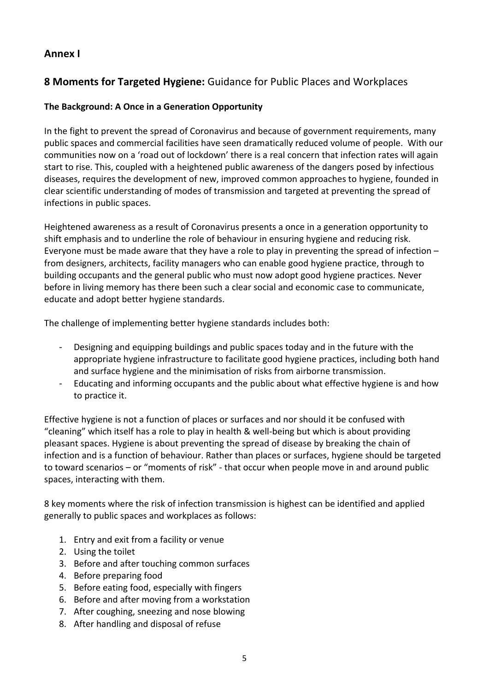### **Annex I**

## **8 Moments for Targeted Hygiene:** Guidance for Public Places and Workplaces

### **The Background: A Once in a Generation Opportunity**

In the fight to prevent the spread of Coronavirus and because of government requirements, many public spaces and commercial facilities have seen dramatically reduced volume of people. With our communities now on a 'road out of lockdown' there is a real concern that infection rates will again start to rise. This, coupled with a heightened public awareness of the dangers posed by infectious diseases, requires the development of new, improved common approaches to hygiene, founded in clear scientific understanding of modes of transmission and targeted at preventing the spread of infections in public spaces.

Heightened awareness as a result of Coronavirus presents a once in a generation opportunity to shift emphasis and to underline the role of behaviour in ensuring hygiene and reducing risk. Everyone must be made aware that they have a role to play in preventing the spread of infection – from designers, architects, facility managers who can enable good hygiene practice, through to building occupants and the general public who must now adopt good hygiene practices. Never before in living memory has there been such a clear social and economic case to communicate, educate and adopt better hygiene standards.

The challenge of implementing better hygiene standards includes both:

- Designing and equipping buildings and public spaces today and in the future with the appropriate hygiene infrastructure to facilitate good hygiene practices, including both hand and surface hygiene and the minimisation of risks from airborne transmission.
- Educating and informing occupants and the public about what effective hygiene is and how to practice it.

Effective hygiene is not a function of places or surfaces and nor should it be confused with "cleaning" which itself has a role to play in health & well-being but which is about providing pleasant spaces. Hygiene is about preventing the spread of disease by breaking the chain of infection and is a function of behaviour. Rather than places or surfaces, hygiene should be targeted to toward scenarios – or "moments of risk" - that occur when people move in and around public spaces, interacting with them.

8 key moments where the risk of infection transmission is highest can be identified and applied generally to public spaces and workplaces as follows:

- 1. Entry and exit from a facility or venue
- 2. Using the toilet
- 3. Before and after touching common surfaces
- 4. Before preparing food
- 5. Before eating food, especially with fingers
- 6. Before and after moving from a workstation
- 7. After coughing, sneezing and nose blowing
- 8. After handling and disposal of refuse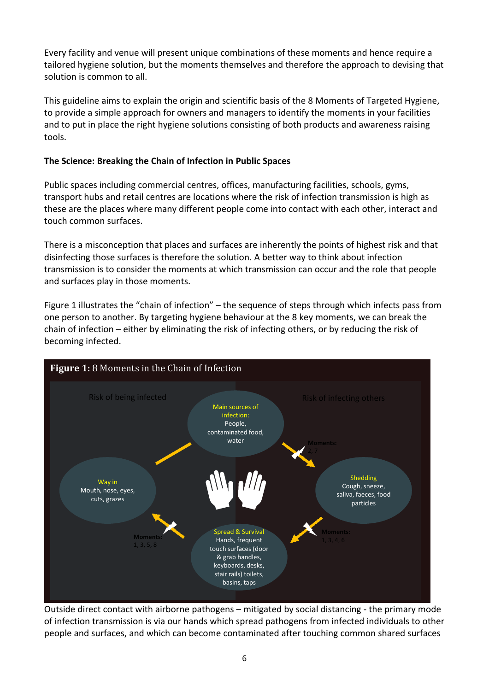Every facility and venue will present unique combinations of these moments and hence require a tailored hygiene solution, but the moments themselves and therefore the approach to devising that solution is common to all.

This guideline aims to explain the origin and scientific basis of the 8 Moments of Targeted Hygiene, to provide a simple approach for owners and managers to identify the moments in your facilities and to put in place the right hygiene solutions consisting of both products and awareness raising tools.

### **The Science: Breaking the Chain of Infection in Public Spaces**

Public spaces including commercial centres, offices, manufacturing facilities, schools, gyms, transport hubs and retail centres are locations where the risk of infection transmission is high as these are the places where many different people come into contact with each other, interact and touch common surfaces.

There is a misconception that places and surfaces are inherently the points of highest risk and that disinfecting those surfaces is therefore the solution. A better way to think about infection transmission is to consider the moments at which transmission can occur and the role that people and surfaces play in those moments.

Figure 1 illustrates the "chain of infection" – the sequence of steps through which infects pass from one person to another. By targeting hygiene behaviour at the 8 key moments, we can break the chain of infection – either by eliminating the risk of infecting others, or by reducing the risk of becoming infected.



Outside direct contact with airborne pathogens – mitigated by social distancing - the primary mode of infection transmission is via our hands which spread pathogens from infected individuals to other people and surfaces, and which can become contaminated after touching common shared surfaces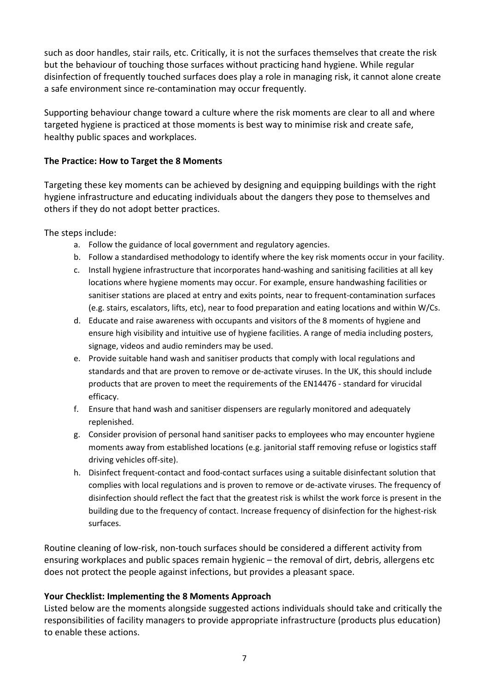such as door handles, stair rails, etc. Critically, it is not the surfaces themselves that create the risk but the behaviour of touching those surfaces without practicing hand hygiene. While regular disinfection of frequently touched surfaces does play a role in managing risk, it cannot alone create a safe environment since re-contamination may occur frequently.

Supporting behaviour change toward a culture where the risk moments are clear to all and where targeted hygiene is practiced at those moments is best way to minimise risk and create safe, healthy public spaces and workplaces.

#### **The Practice: How to Target the 8 Moments**

Targeting these key moments can be achieved by designing and equipping buildings with the right hygiene infrastructure and educating individuals about the dangers they pose to themselves and others if they do not adopt better practices.

The steps include:

- a. Follow the guidance of local government and regulatory agencies.
- b. Follow a standardised methodology to identify where the key risk moments occur in your facility.
- c. Install hygiene infrastructure that incorporates hand-washing and sanitising facilities at all key locations where hygiene moments may occur. For example, ensure handwashing facilities or sanitiser stations are placed at entry and exits points, near to frequent-contamination surfaces (e.g. stairs, escalators, lifts, etc), near to food preparation and eating locations and within W/Cs.
- d. Educate and raise awareness with occupants and visitors of the 8 moments of hygiene and ensure high visibility and intuitive use of hygiene facilities. A range of media including posters, signage, videos and audio reminders may be used.
- e. Provide suitable hand wash and sanitiser products that comply with local regulations and standards and that are proven to remove or de-activate viruses. In the UK, this should include products that are proven to meet the requirements of the EN14476 - standard for virucidal efficacy.
- f. Ensure that hand wash and sanitiser dispensers are regularly monitored and adequately replenished.
- g. Consider provision of personal hand sanitiser packs to employees who may encounter hygiene moments away from established locations (e.g. janitorial staff removing refuse or logistics staff driving vehicles off-site).
- h. Disinfect frequent-contact and food-contact surfaces using a suitable disinfectant solution that complies with local regulations and is proven to remove or de-activate viruses. The frequency of disinfection should reflect the fact that the greatest risk is whilst the work force is present in the building due to the frequency of contact. Increase frequency of disinfection for the highest-risk surfaces.

Routine cleaning of low-risk, non-touch surfaces should be considered a different activity from ensuring workplaces and public spaces remain hygienic – the removal of dirt, debris, allergens etc does not protect the people against infections, but provides a pleasant space.

### **Your Checklist: Implementing the 8 Moments Approach**

Listed below are the moments alongside suggested actions individuals should take and critically the responsibilities of facility managers to provide appropriate infrastructure (products plus education) to enable these actions.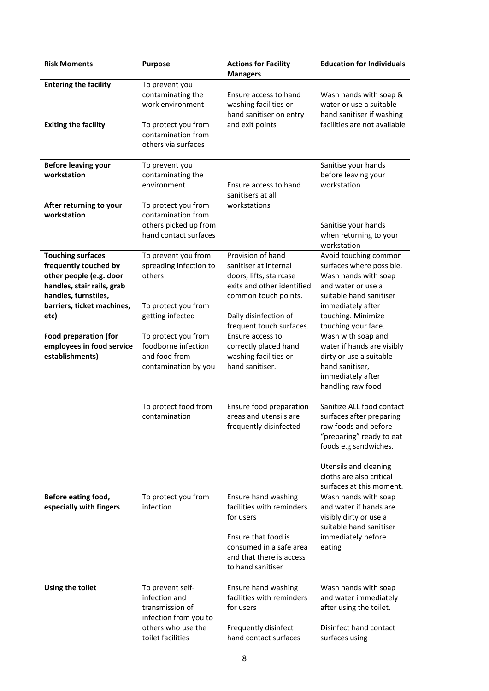| <b>Risk Moments</b>                                                                                                                                                      | <b>Purpose</b>                                                                                                                                    | <b>Actions for Facility</b><br><b>Managers</b>                                                                                                                                   | <b>Education for Individuals</b>                                                                                                                                                                                    |
|--------------------------------------------------------------------------------------------------------------------------------------------------------------------------|---------------------------------------------------------------------------------------------------------------------------------------------------|----------------------------------------------------------------------------------------------------------------------------------------------------------------------------------|---------------------------------------------------------------------------------------------------------------------------------------------------------------------------------------------------------------------|
| <b>Entering the facility</b><br><b>Exiting the facility</b>                                                                                                              | To prevent you<br>contaminating the<br>work environment<br>To protect you from<br>contamination from<br>others via surfaces                       | Ensure access to hand<br>washing facilities or<br>hand sanitiser on entry<br>and exit points                                                                                     | Wash hands with soap &<br>water or use a suitable<br>hand sanitiser if washing<br>facilities are not available                                                                                                      |
| <b>Before leaving your</b><br>workstation<br>After returning to your<br>workstation                                                                                      | To prevent you<br>contaminating the<br>environment<br>To protect you from<br>contamination from<br>others picked up from<br>hand contact surfaces | Ensure access to hand<br>sanitisers at all<br>workstations                                                                                                                       | Sanitise your hands<br>before leaving your<br>workstation<br>Sanitise your hands<br>when returning to your<br>workstation                                                                                           |
| <b>Touching surfaces</b><br>frequently touched by<br>other people (e.g. door<br>handles, stair rails, grab<br>handles, turnstiles,<br>barriers, ticket machines,<br>etc) | To prevent you from<br>spreading infection to<br>others<br>To protect you from<br>getting infected                                                | Provision of hand<br>sanitiser at internal<br>doors, lifts, staircase<br>exits and other identified<br>common touch points.<br>Daily disinfection of<br>frequent touch surfaces. | Avoid touching common<br>surfaces where possible.<br>Wash hands with soap<br>and water or use a<br>suitable hand sanitiser<br>immediately after<br>touching. Minimize<br>touching your face.                        |
| <b>Food preparation (for</b><br>employees in food service<br>establishments)                                                                                             | To protect you from<br>foodborne infection<br>and food from<br>contamination by you                                                               | Ensure access to<br>correctly placed hand<br>washing facilities or<br>hand sanitiser.                                                                                            | Wash with soap and<br>water if hands are visibly<br>dirty or use a suitable<br>hand sanitiser,<br>immediately after<br>handling raw food                                                                            |
|                                                                                                                                                                          | To protect food from<br>contamination                                                                                                             | Ensure food preparation<br>areas and utensils are<br>frequently disinfected                                                                                                      | Sanitize ALL food contact<br>surfaces after preparing<br>raw foods and before<br>"preparing" ready to eat<br>foods e.g sandwiches.<br>Utensils and cleaning<br>cloths are also critical<br>surfaces at this moment. |
| Before eating food,<br>especially with fingers                                                                                                                           | To protect you from<br>infection                                                                                                                  | Ensure hand washing<br>facilities with reminders<br>for users<br>Ensure that food is<br>consumed in a safe area<br>and that there is access<br>to hand sanitiser                 | Wash hands with soap<br>and water if hands are<br>visibly dirty or use a<br>suitable hand sanitiser<br>immediately before<br>eating                                                                                 |
| Using the toilet                                                                                                                                                         | To prevent self-<br>infection and<br>transmission of<br>infection from you to<br>others who use the<br>toilet facilities                          | Ensure hand washing<br>facilities with reminders<br>for users<br>Frequently disinfect<br>hand contact surfaces                                                                   | Wash hands with soap<br>and water immediately<br>after using the toilet.<br>Disinfect hand contact<br>surfaces using                                                                                                |